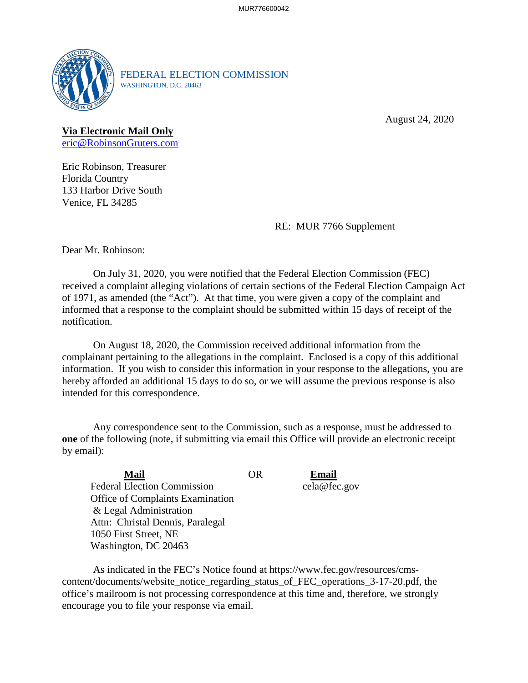

FEDERAL ELECTION COMMISSION WASHINGTON, D.C. 20463

August 24, 2020

## **Via Electronic Mail Only**  [eric@RobinsonGruters.com](mailto:eric@RobinsonGruters.com)

Eric Robinson, Treasurer Florida Country 133 Harbor Drive South Venice, FL 34285

RE: MUR 7766 Supplement

Dear Mr. Robinson:

 of 1971, as amended (the "Act"). At that time, you were given a copy of the complaint and On July 31, 2020, you were notified that the Federal Election Commission (FEC) received a complaint alleging violations of certain sections of the Federal Election Campaign Act informed that a response to the complaint should be submitted within 15 days of receipt of the notification.

On August 18, 2020, the Commission received additional information from the complainant pertaining to the allegations in the complaint. Enclosed is a copy of this additional information. If you wish to consider this information in your response to the allegations, you are hereby afforded an additional 15 days to do so, or we will assume the previous response is also intended for this correspondence.

Any correspondence sent to the Commission, such as a response, must be addressed to **one** of the following (note, if submitting via email this Office will provide an electronic receipt by email):

| <b>Mail</b>                        | OR | Email        |
|------------------------------------|----|--------------|
| <b>Federal Election Commission</b> |    | cela@fec.gov |
| Office of Complaints Examination   |    |              |
| & Legal Administration             |    |              |
| Attn: Christal Dennis, Paralegal   |    |              |
| 1050 First Street, NE              |    |              |
| Washington, DC 20463               |    |              |

 encourage you to file your response via email. As indicated in the FEC's Notice found at<https://www.fec.gov/resources/cms>content/documents/website\_notice\_regarding\_status\_of\_FEC\_operations\_3-17-20.pdf, the office's mailroom is not processing correspondence at this time and, therefore, we strongly